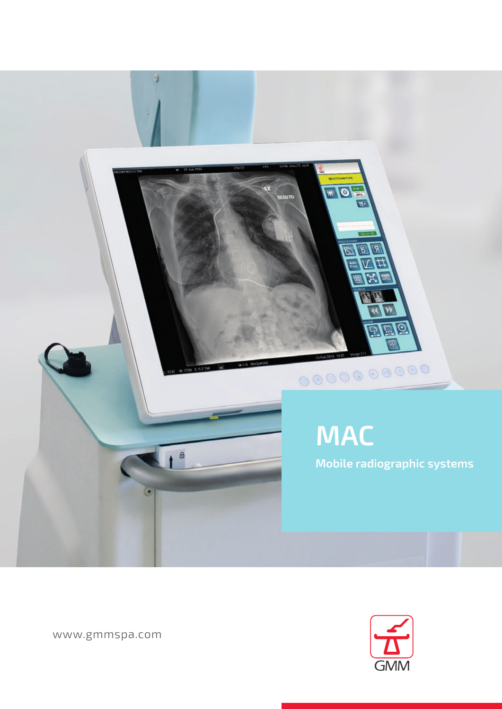

**GMM** 

www.gmmspa.com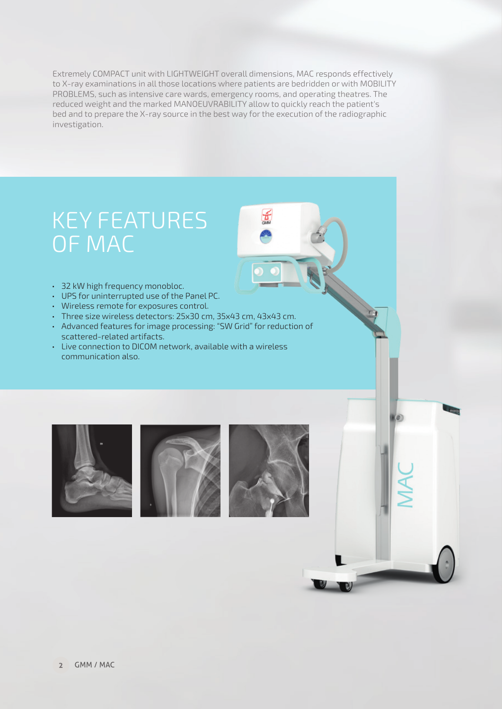Extremely COMPACT unit with LIGHTWEIGHT overall dimensions, MAC responds effectively to X-ray examinations in all those locations where patients are bedridden or with MOBILITY PROBLEMS, such as intensive care wards, emergency rooms, and operating theatres. The reduced weight and the marked MANOEUVRABILITY allow to quickly reach the patient's bed and to prepare the X-ray source in the best way for the execution of the radiographic investigation.

## KEY FEATURES OF MAC

- 32 kW high frequency monobloc.
- UPS for uninterrupted use of the Panel PC.
- Wireless remote for exposures control.
- Three size wireless detectors: 25x30 cm, 35x43 cm, 43x43 cm.
- Advanced features for image processing: "SW Grid" for reduction of scattered-related artifacts.
- Live connection to DICOM network, available with a wireless communication also.





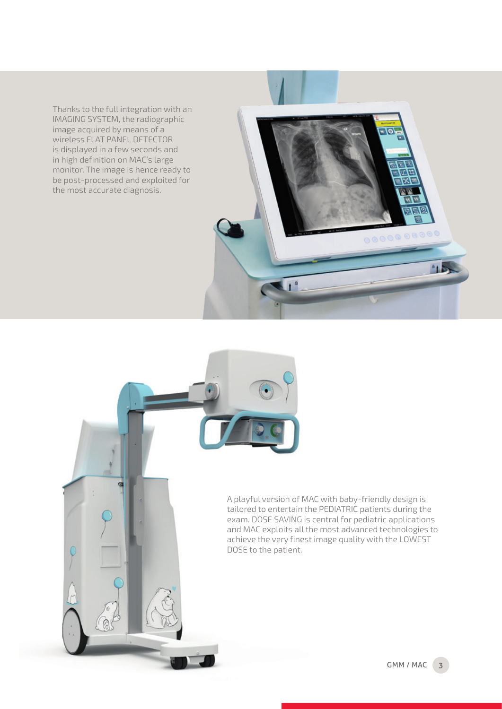Thanks to the full integration with an IMAGING SYSTEM, the radiographic image acquired by means of a wireless FLAT PANEL DETECTOR is displayed in a few seconds and in high definition on MAC's large monitor. The image is hence ready to be post-processed and exploited for the most accurate diagnosis.